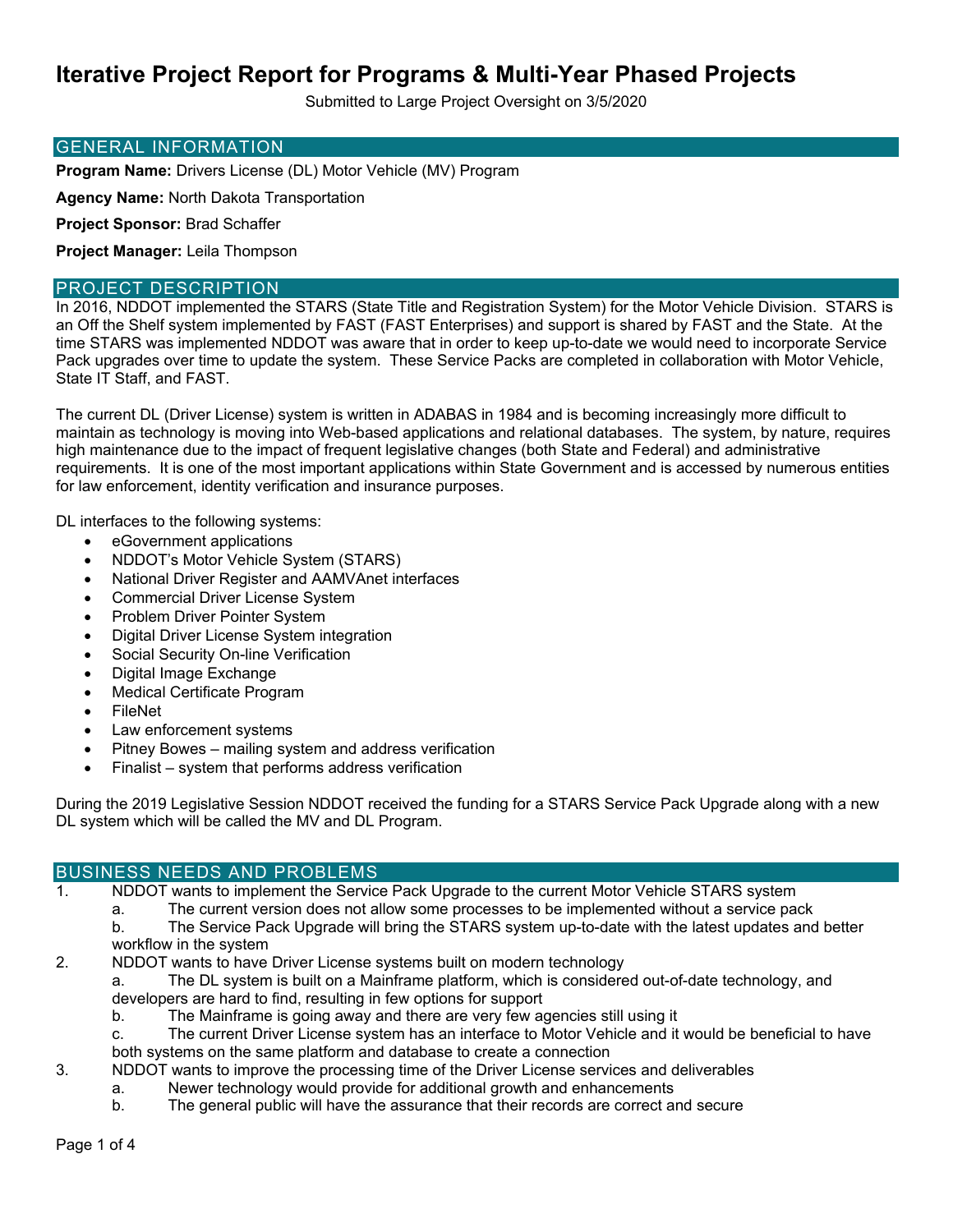Submitted to Large Project Oversight on 3/5/2020

#### GENERAL INFORMATION

**Program Name:** Drivers License (DL) Motor Vehicle (MV) Program

**Agency Name:** North Dakota Transportation

**Project Sponsor:** Brad Schaffer

**Project Manager:** Leila Thompson

#### PROJECT DESCRIPTION

In 2016, NDDOT implemented the STARS (State Title and Registration System) for the Motor Vehicle Division. STARS is an Off the Shelf system implemented by FAST (FAST Enterprises) and support is shared by FAST and the State. At the time STARS was implemented NDDOT was aware that in order to keep up-to-date we would need to incorporate Service Pack upgrades over time to update the system. These Service Packs are completed in collaboration with Motor Vehicle, State IT Staff, and FAST.

The current DL (Driver License) system is written in ADABAS in 1984 and is becoming increasingly more difficult to maintain as technology is moving into Web-based applications and relational databases. The system, by nature, requires high maintenance due to the impact of frequent legislative changes (both State and Federal) and administrative requirements. It is one of the most important applications within State Government and is accessed by numerous entities for law enforcement, identity verification and insurance purposes.

DL interfaces to the following systems:

- eGovernment applications
- NDDOT's Motor Vehicle System (STARS)
- National Driver Register and AAMVAnet interfaces
- Commercial Driver License System
- Problem Driver Pointer System
- Digital Driver License System integration
- Social Security On-line Verification
- Digital Image Exchange
- Medical Certificate Program
- FileNet
- Law enforcement systems
- Pitney Bowes mailing system and address verification
- Finalist system that performs address verification

During the 2019 Legislative Session NDDOT received the funding for a STARS Service Pack Upgrade along with a new DL system which will be called the MV and DL Program.

## BUSINESS NEEDS AND PROBLEMS

1. NDDOT wants to implement the Service Pack Upgrade to the current Motor Vehicle STARS system

a. The current version does not allow some processes to be implemented without a service pack

b. The Service Pack Upgrade will bring the STARS system up-to-date with the latest updates and better workflow in the system

2. NDDOT wants to have Driver License systems built on modern technology

a. The DL system is built on a Mainframe platform, which is considered out-of-date technology, and developers are hard to find, resulting in few options for support

- b. The Mainframe is going away and there are very few agencies still using it
- c. The current Driver License system has an interface to Motor Vehicle and it would be beneficial to have
- both systems on the same platform and database to create a connection
- 3. NDDOT wants to improve the processing time of the Driver License services and deliverables
	- a. Newer technology would provide for additional growth and enhancements
	- b. The general public will have the assurance that their records are correct and secure

Page 1 of 4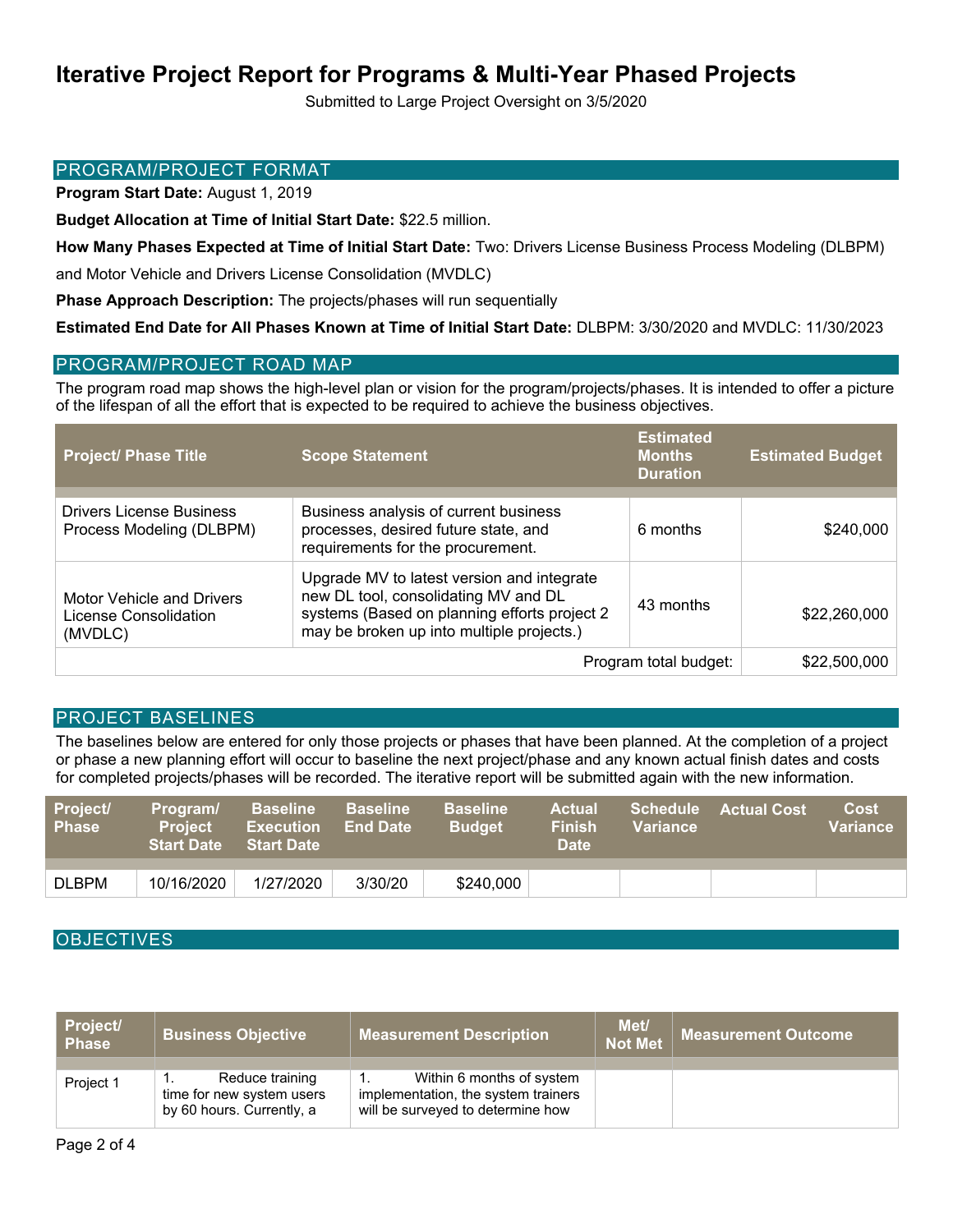Submitted to Large Project Oversight on 3/5/2020

#### PROGRAM/PROJECT FORMAT

**Program Start Date:** August 1, 2019

**Budget Allocation at Time of Initial Start Date:** \$22.5 million.

**How Many Phases Expected at Time of Initial Start Date:** Two: Drivers License Business Process Modeling (DLBPM)

and Motor Vehicle and Drivers License Consolidation (MVDLC)

**Phase Approach Description:** The projects/phases will run sequentially

**Estimated End Date for All Phases Known at Time of Initial Start Date:** DLBPM: 3/30/2020 and MVDLC: 11/30/2023

## PROGRAM/PROJECT ROAD MAP

The program road map shows the high-level plan or vision for the program/projects/phases. It is intended to offer a picture of the lifespan of all the effort that is expected to be required to achieve the business objectives.

| <b>Project/ Phase Title</b>                                          | <b>Scope Statement</b>                                                                                                                                                          | <b>Estimated</b><br><b>Months</b><br><b>Duration</b> | <b>Estimated Budget</b> |
|----------------------------------------------------------------------|---------------------------------------------------------------------------------------------------------------------------------------------------------------------------------|------------------------------------------------------|-------------------------|
|                                                                      |                                                                                                                                                                                 |                                                      |                         |
| <b>Drivers License Business</b><br>Process Modeling (DLBPM)          | Business analysis of current business<br>processes, desired future state, and<br>requirements for the procurement.                                                              | 6 months                                             | \$240,000               |
| <b>Motor Vehicle and Drivers</b><br>License Consolidation<br>(MVDLC) | Upgrade MV to latest version and integrate<br>new DL tool, consolidating MV and DL<br>systems (Based on planning efforts project 2<br>may be broken up into multiple projects.) | 43 months                                            | \$22,260,000            |
| Program total budget:                                                |                                                                                                                                                                                 |                                                      | \$22,500,000            |

## PROJECT BASELINES

The baselines below are entered for only those projects or phases that have been planned. At the completion of a project or phase a new planning effort will occur to baseline the next project/phase and any known actual finish dates and costs for completed projects/phases will be recorded. The iterative report will be submitted again with the new information.

| Project/<br><b>Phase</b> | Program/<br><b>Project</b><br><b>Start Date</b> | <b>Baseline</b><br><b>Execution</b><br><b>Start Date</b> | <b>Baseline</b><br><b>End Date</b> | <b>Baseline</b><br><b>Budget</b> | <b>Actual</b><br><b>Finish</b><br><b>Date</b> | <b>Schedule</b><br><b>Variance</b> | <b>Actual Cost</b> | <b>Cost</b><br>Variance |
|--------------------------|-------------------------------------------------|----------------------------------------------------------|------------------------------------|----------------------------------|-----------------------------------------------|------------------------------------|--------------------|-------------------------|
|                          |                                                 |                                                          |                                    |                                  |                                               |                                    |                    |                         |
| <b>DLBPM</b>             | 10/16/2020                                      | 1/27/2020                                                | 3/30/20                            | \$240,000                        |                                               |                                    |                    |                         |

## **OBJECTIVES**

| Project/<br><b>Phase</b> | <b>Business Objective</b>                                                 | <b>Measurement Description</b>                                                                        | Met/<br><b>Not Met</b> | Measurement Outcome |
|--------------------------|---------------------------------------------------------------------------|-------------------------------------------------------------------------------------------------------|------------------------|---------------------|
| Project 1                | Reduce training<br>time for new system users<br>by 60 hours. Currently, a | Within 6 months of system<br>implementation, the system trainers<br>will be surveyed to determine how |                        |                     |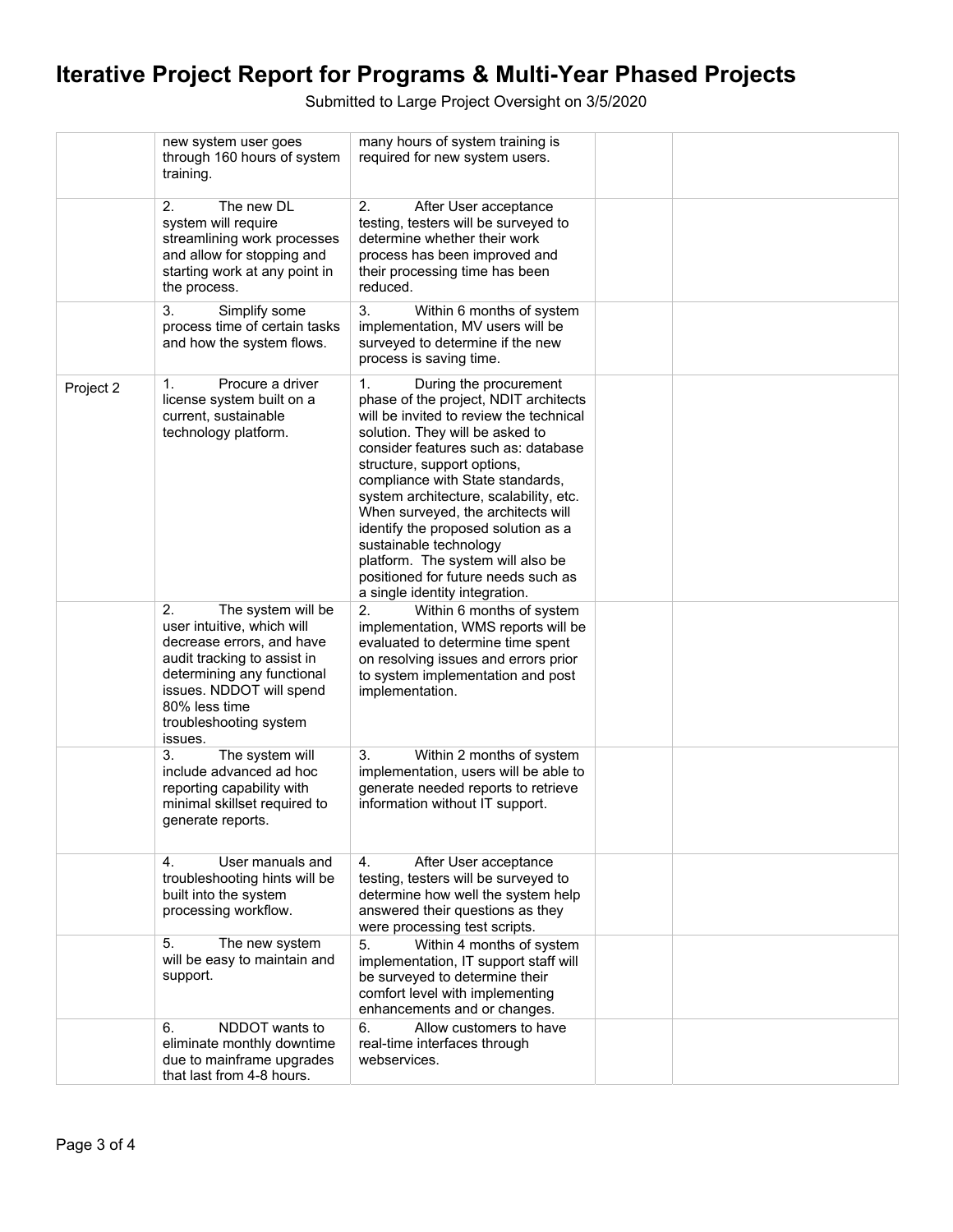Submitted to Large Project Oversight on 3/5/2020

|           | new system user goes<br>through 160 hours of system<br>training.                                                                                                                                                                   | many hours of system training is<br>required for new system users.                                                                                                                                                                                                                                                                                                                                                                                                                                                           |  |  |
|-----------|------------------------------------------------------------------------------------------------------------------------------------------------------------------------------------------------------------------------------------|------------------------------------------------------------------------------------------------------------------------------------------------------------------------------------------------------------------------------------------------------------------------------------------------------------------------------------------------------------------------------------------------------------------------------------------------------------------------------------------------------------------------------|--|--|
|           | 2.<br>The new DL<br>system will require<br>streamlining work processes<br>and allow for stopping and<br>starting work at any point in<br>the process.                                                                              | 2.<br>After User acceptance<br>testing, testers will be surveyed to<br>determine whether their work<br>process has been improved and<br>their processing time has been<br>reduced.                                                                                                                                                                                                                                                                                                                                           |  |  |
|           | Simplify some<br>3.<br>process time of certain tasks<br>and how the system flows.                                                                                                                                                  | 3.<br>Within 6 months of system<br>implementation, MV users will be<br>surveyed to determine if the new<br>process is saving time.                                                                                                                                                                                                                                                                                                                                                                                           |  |  |
| Project 2 | Procure a driver<br>1.<br>license system built on a<br>current, sustainable<br>technology platform.                                                                                                                                | 1.<br>During the procurement<br>phase of the project, NDIT architects<br>will be invited to review the technical<br>solution. They will be asked to<br>consider features such as: database<br>structure, support options,<br>compliance with State standards,<br>system architecture, scalability, etc.<br>When surveyed, the architects will<br>identify the proposed solution as a<br>sustainable technology<br>platform. The system will also be<br>positioned for future needs such as<br>a single identity integration. |  |  |
|           | 2.<br>The system will be<br>user intuitive, which will<br>decrease errors, and have<br>audit tracking to assist in<br>determining any functional<br>issues. NDDOT will spend<br>80% less time<br>troubleshooting system<br>issues. | 2.<br>Within 6 months of system<br>implementation, WMS reports will be<br>evaluated to determine time spent<br>on resolving issues and errors prior<br>to system implementation and post<br>implementation.                                                                                                                                                                                                                                                                                                                  |  |  |
|           | 3.<br>The system will<br>include advanced ad hoc<br>reporting capability with<br>minimal skillset required to<br>generate reports.                                                                                                 | Within 2 months of system<br>3.<br>implementation, users will be able to<br>generate needed reports to retrieve<br>information without IT support.                                                                                                                                                                                                                                                                                                                                                                           |  |  |
|           | User manuals and<br>4.<br>troubleshooting hints will be<br>built into the system<br>processing workflow.                                                                                                                           | After User acceptance<br>4.<br>testing, testers will be surveyed to<br>determine how well the system help<br>answered their questions as they<br>were processing test scripts.                                                                                                                                                                                                                                                                                                                                               |  |  |
|           | The new system<br>5.<br>will be easy to maintain and<br>support.                                                                                                                                                                   | 5.<br>Within 4 months of system<br>implementation, IT support staff will<br>be surveyed to determine their<br>comfort level with implementing<br>enhancements and or changes.                                                                                                                                                                                                                                                                                                                                                |  |  |
|           | NDDOT wants to<br>6.<br>eliminate monthly downtime<br>due to mainframe upgrades<br>that last from 4-8 hours.                                                                                                                       | Allow customers to have<br>6.<br>real-time interfaces through<br>webservices.                                                                                                                                                                                                                                                                                                                                                                                                                                                |  |  |